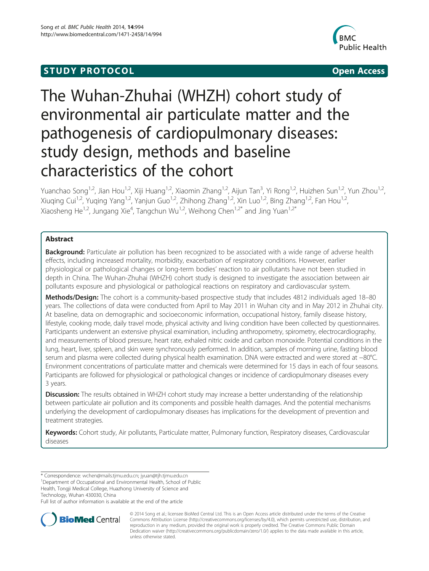# **STUDY PROTOCOL CONSUMING THE STUDY PROTOCOL**



# The Wuhan-Zhuhai (WHZH) cohort study of environmental air particulate matter and the pathogenesis of cardiopulmonary diseases: study design, methods and baseline characteristics of the cohort

Yuanchao Song<sup>1,2</sup>, Jian Hou<sup>1,2</sup>, Xiji Huang<sup>1,2</sup>, Xiaomin Zhang<sup>1,2</sup>, Aijun Tan<sup>3</sup>, Yi Rong<sup>1,2</sup>, Huizhen Sun<sup>1,2</sup>, Yun Zhou<sup>1,2</sup>, Xiuqing Cui<sup>1,2</sup>, Yuqing Yang<sup>1,2</sup>, Yanjun Guo<sup>1,2</sup>, Zhihong Zhang<sup>1,2</sup>, Xin Luo<sup>1,2</sup>, Bing Zhang<sup>1,2</sup>, Fan Hou<sup>1,2</sup>, Xiaosheng He<sup>1,2</sup>, Jungang Xie<sup>4</sup>, Tangchun Wu<sup>1,2</sup>, Weihong Chen<sup>1,2\*</sup> and Jing Yuan<sup>1,2\*</sup>

# Abstract

**Background:** Particulate air pollution has been recognized to be associated with a wide range of adverse health effects, including increased mortality, morbidity, exacerbation of respiratory conditions. However, earlier physiological or pathological changes or long-term bodies' reaction to air pollutants have not been studied in depth in China. The Wuhan-Zhuhai (WHZH) cohort study is designed to investigate the association between air pollutants exposure and physiological or pathological reactions on respiratory and cardiovascular system.

Methods/Design: The cohort is a community-based prospective study that includes 4812 individuals aged 18-80 years. The collections of data were conducted from April to May 2011 in Wuhan city and in May 2012 in Zhuhai city. At baseline, data on demographic and socioeconomic information, occupational history, family disease history, lifestyle, cooking mode, daily travel mode, physical activity and living condition have been collected by questionnaires. Participants underwent an extensive physical examination, including anthropometry, spirometry, electrocardiography, and measurements of blood pressure, heart rate, exhaled nitric oxide and carbon monoxide. Potential conditions in the lung, heart, liver, spleen, and skin were synchronously performed. In addition, samples of morning urine, fasting blood serum and plasma were collected during physical health examination. DNA were extracted and were stored at −80°C. Environment concentrations of particulate matter and chemicals were determined for 15 days in each of four seasons. Participants are followed for physiological or pathological changes or incidence of cardiopulmonary diseases every 3 years.

**Discussion:** The results obtained in WHZH cohort study may increase a better understanding of the relationship between particulate air pollution and its components and possible health damages. And the potential mechanisms underlying the development of cardiopulmonary diseases has implications for the development of prevention and treatment strategies.

Keywords: Cohort study, Air pollutants, Particulate matter, Pulmonary function, Respiratory diseases, Cardiovascular diseases

\* Correspondence: [wchen@mails.tjmu.edu.cn;](mailto:wchen@mails.tjmu.edu.cn) [jyuan@tjh.tjmu.edu.cn](mailto:jyuan@tjh.tjmu.edu.cn) <sup>1</sup> <sup>1</sup>Department of Occupational and Environmental Health, School of Public

Health, Tongji Medical College, Huazhong University of Science and Technology, Wuhan 430030, China

Full list of author information is available at the end of the article



© 2014 Song et al.; licensee BioMed Central Ltd. This is an Open Access article distributed under the terms of the Creative Commons Attribution License [\(http://creativecommons.org/licenses/by/4.0\)](http://creativecommons.org/licenses/by/4.0), which permits unrestricted use, distribution, and reproduction in any medium, provided the original work is properly credited. The Creative Commons Public Domain Dedication waiver [\(http://creativecommons.org/publicdomain/zero/1.0/](http://creativecommons.org/publicdomain/zero/1.0/)) applies to the data made available in this article, unless otherwise stated.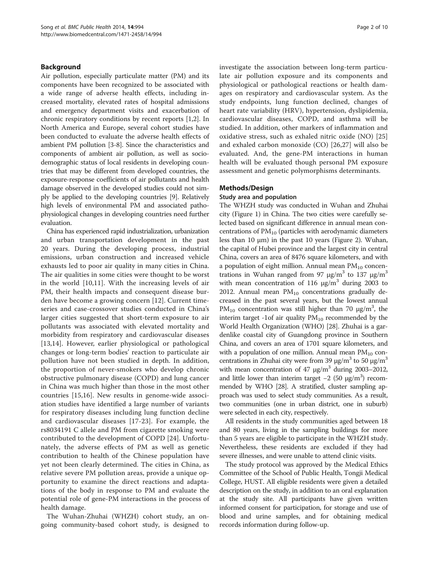# Background

Air pollution, especially particulate matter (PM) and its components have been recognized to be associated with a wide range of adverse health effects, including increased mortality, elevated rates of hospital admissions and emergency department visits and exacerbation of chronic respiratory conditions by recent reports [\[1,2](#page-8-0)]. In North America and Europe, several cohort studies have been conducted to evaluate the adverse health effects of ambient PM pollution [\[3-8](#page-8-0)]. Since the characteristics and components of ambient air pollution, as well as sociodemographic status of local residents in developing countries that may be different from developed countries, the exposure-response coefficients of air pollutants and health damage observed in the developed studies could not simply be applied to the developing countries [[9](#page-8-0)]. Relatively high levels of environmental PM and associated pathophysiological changes in developing countries need further evaluation.

China has experienced rapid industrialization, urbanization and urban transportation development in the past 20 years. During the developing process, industrial emissions, urban construction and increased vehicle exhausts led to poor air quality in many cities in China. The air qualities in some cities were thought to be worst in the world [\[10,11](#page-8-0)]. With the increasing levels of air PM, their health impacts and consequent disease burden have become a growing concern [\[12](#page-8-0)]. Current timeseries and case-crossover studies conducted in China's larger cities suggested that short-term exposure to air pollutants was associated with elevated mortality and morbidity from respiratory and cardiovascular diseases [[13,14](#page-8-0)]. However, earlier physiological or pathological changes or long-term bodies' reaction to particulate air pollution have not been studied in depth. In addition, the proportion of never-smokers who develop chronic obstructive pulmonary disease (COPD) and lung cancer in China was much higher than those in the most other countries [[15,16](#page-8-0)]. New results in genome-wide association studies have identified a large number of variants for respiratory diseases including lung function decline and cardiovascular diseases [[17-23](#page-8-0)]. For example, the rs8034191 C allele and PM from cigarette smoking were contributed to the development of COPD [\[24](#page-8-0)]. Unfortunately, the adverse effects of PM as well as genetic contribution to health of the Chinese population have yet not been clearly determined. The cities in China, as relative severe PM pollution areas, provide a unique opportunity to examine the direct reactions and adaptations of the body in response to PM and evaluate the potential role of gene-PM interactions in the process of health damage.

The Wuhan-Zhuhai (WHZH) cohort study, an ongoing community-based cohort study, is designed to investigate the association between long-term particulate air pollution exposure and its components and physiological or pathological reactions or health damages on respiratory and cardiovascular system. As the study endpoints, lung function declined, changes of heart rate variability (HRV), hypertension, dyslipidemia, cardiovascular diseases, COPD, and asthma will be studied. In addition, other markers of inflammation and oxidative stress, such as exhaled nitric oxide (NO) [\[25](#page-8-0)] and exhaled carbon monoxide (CO) [[26,27\]](#page-8-0) will also be evaluated. And, the gene-PM interactions in human health will be evaluated though personal PM exposure assessment and genetic polymorphisms determinants.

#### Methods/Design

#### Study area and population

The WHZH study was conducted in Wuhan and Zhuhai city (Figure [1\)](#page-2-0) in China. The two cities were carefully selected based on significant difference in annual mean concentrations of  $PM_{10}$  (particles with aerodynamic diameters less than 10 μm) in the past 10 years (Figure [2\)](#page-2-0). Wuhan, the capital of Hubei province and the largest city in central China, covers an area of 8476 square kilometers, and with a population of eight million. Annual mean  $PM_{10}$  concentrations in Wuhan ranged from 97  $\mu$ g/m<sup>3</sup> to 137  $\mu$ g/m<sup>3</sup> with mean concentration of 116  $\mu$ g/m<sup>3</sup> during 2003 to 2012. Annual mean  $PM_{10}$  concentrations gradually decreased in the past several years, but the lowest annual PM<sub>10</sub> concentration was still higher than 70  $\mu$ g/m<sup>3</sup>, the interim target -1of air quality  $PM_{10}$  recommended by the World Health Organization (WHO) [\[28](#page-8-0)]. Zhuhai is a gardenlike coastal city of Guangdong province in Southern China, and covers an area of 1701 square kilometers, and with a population of one million. Annual mean  $PM_{10}$  concentrations in Zhuhai city were from 39  $\mu$ g/m<sup>3</sup> to 50  $\mu$ g/m<sup>3</sup> with mean concentration of 47  $\mu$ g/m<sup>3</sup> during 2003–2012, and little lower than interim target  $-2$  (50  $\mu$ g/m<sup>3</sup>) recommended by WHO [\[28](#page-8-0)]. A stratified, cluster sampling approach was used to select study communities. As a result, two communities (one in urban district, one in suburb) were selected in each city, respectively.

All residents in the study communities aged between 18 and 80 years, living in the sampling buildings for more than 5 years are eligible to participate in the WHZH study. Nevertheless, these residents are excluded if they had severe illnesses, and were unable to attend clinic visits.

The study protocol was approved by the Medical Ethics Committee of the School of Public Health, Tongji Medical College, HUST. All eligible residents were given a detailed description on the study, in addition to an oral explanation at the study site. All participants have given written informed consent for participation, for storage and use of blood and urine samples, and for obtaining medical records information during follow-up.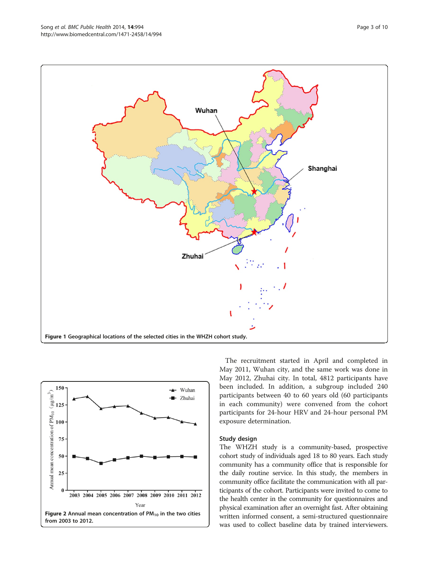<span id="page-2-0"></span>



The recruitment started in April and completed in May 2011, Wuhan city, and the same work was done in May 2012, Zhuhai city. In total, 4812 participants have been included. In addition, a subgroup included 240 participants between 40 to 60 years old (60 participants in each community) were convened from the cohort participants for 24-hour HRV and 24-hour personal PM exposure determination.

# Study design

The WHZH study is a community-based, prospective cohort study of individuals aged 18 to 80 years. Each study community has a community office that is responsible for the daily routine service. In this study, the members in community office facilitate the communication with all participants of the cohort. Participants were invited to come to the health center in the community for questionnaires and physical examination after an overnight fast. After obtaining written informed consent, a semi-structured questionnaire was used to collect baseline data by trained interviewers.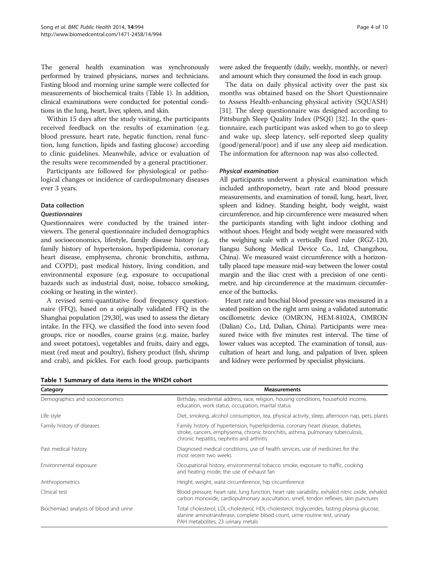The general health examination was synchronously performed by trained physicians, nurses and technicians. Fasting blood and morning urine sample were collected for measurements of biochemical traits (Table 1). In addition, clinical examinations were conducted for potential conditions in the lung, heart, liver, spleen, and skin.

Within 15 days after the study visiting, the participants received feedback on the results of examination (e.g. blood pressure, heart rate, hepatic function, renal function, lung function, lipids and fasting glucose) according to clinic guidelines. Meanwhile, advice or evaluation of the results were recommended by a general practitioner.

Participants are followed for physiological or pathological changes or incidence of cardiopulmonary diseases ever 3 years.

### Data collection

#### **Ouestionnaires**

Questionnaires were conducted by the trained interviewers. The general questionnaire included demographics and socioeconomics, lifestyle, family disease history (e.g. family history of hypertension, hyperlipidemia, coronary heart disease, emphysema, chronic bronchitis, asthma, and COPD), past medical history, living condition, and environmental exposure (e.g. exposure to occupational hazards such as industrial dust, noise, tobacco smoking, cooking or heating in the winter).

A revised semi-quantitative food frequency questionnaire (FFQ), based on a originally validated FFQ in the Shanghai population [\[29,30\]](#page-8-0), was used to assess the dietary intake. In the FFQ, we classified the food into seven food groups, rice or noodles, coarse grains (e.g. maize, barley and sweet potatoes), vegetables and fruits, dairy and eggs, meat (red meat and poultry), fishery product (fish, shrimp and crab), and pickles. For each food group, participants

were asked the frequently (daily, weekly, monthly, or never) and amount which they consumed the food in each group.

The data on daily physical activity over the past six months was obtained based on the Short Questionnaire to Assess Health-enhancing physical activity (SQUASH) [[31\]](#page-8-0). The sleep questionnaire was designed according to Pittsburgh Sleep Quality Index (PSQI) [[32](#page-8-0)]. In the questionnaire, each participant was asked when to go to sleep and wake up, sleep latency, self-reported sleep quality (good/general/poor) and if use any sleep aid medication. The information for afternoon nap was also collected.

#### Physical examination

All participants underwent a physical examination which included anthropometry, heart rate and blood pressure measurements, and examination of tonsil, lung, heart, liver, spleen and kidney. Standing height, body weight, waist circumference, and hip circumference were measured when the participants standing with light indoor clothing and without shoes. Height and body weight were measured with the weighing scale with a vertically fixed ruler (RGZ-120, Jiangsu Suhong Medical Device Co., Ltd, Changzhou, China). We measured waist circumference with a horizontally placed tape measure mid-way between the lower costal margin and the iliac crest with a precision of one centimetre, and hip circumference at the maximum circumference of the buttocks.

Heart rate and brachial blood pressure was measured in a seated position on the right arm using a validated automatic oscillometric device (OMRON, HEM-8102A, OMRON (Dalian) Co., Ltd, Dalian, China). Participants were measured twice with five minutes rest interval. The time of lower values was accepted. The examination of tonsil, auscultation of heart and lung, and palpation of liver, spleen and kidney were performed by specialist physicians.

| Category                                | <b>Measurements</b>                                                                                                                                                                                                |
|-----------------------------------------|--------------------------------------------------------------------------------------------------------------------------------------------------------------------------------------------------------------------|
| Demographics and socioeconomics         | Birthday, residential address, race, religion, housing conditions, household income,<br>education, work status, occupation, marital status                                                                         |
| Life style                              | Diet, smoking, alcohol consumption, tea, physical activity, sleep, afternoon nap, pets, plants                                                                                                                     |
| Family history of diseases              | Family history of hypertension, hyperlipidemia, coronary heart disease, diabetes,<br>stroke, cancers, emphysema, chronic bronchitis, asthma, pulmonary tuberculosis,<br>chronic hepatitis, nephritis and arthritis |
| Past medical history                    | Diagnosed medical conditions, use of health services, use of medicines for the<br>most recent two weeks                                                                                                            |
| Environmental exposure                  | Occupational history, environmental tobacco smoke, exposure to traffic, cooking<br>and heating mode, the use of exhaust fan                                                                                        |
| Anthropometrics                         | Height, weight, waist circumference, hip circumference                                                                                                                                                             |
| Clinical test                           | Blood pressure, heart rate, lung function, heart rate variability, exhaled nitric oxide, exhaled<br>carbon monoxide, cardiopulmonary auscultation, smell, tendon reflexes, skin punctures                          |
| Biochemiacl analysis of blood and urine | Total cholesterol, LDL-cholesterol, HDL-cholesterol, triglycerides, fasting plasma glucose,<br>alanine aminotransferase, complete blood count, urine routine test, urinary<br>PAH metabolites, 23 urinary metals   |

Table 1 Summary of data items in the WHZH cohort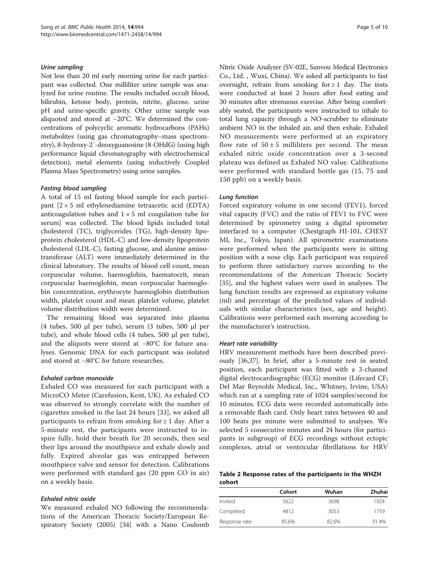#### <span id="page-4-0"></span>Urine sampling

Not less than 20 ml early morning urine for each participant was collected. One milliliter urine sample was analyzed for urine routine. The results included occult blood, bilirubin, ketone body, protein, nitrite, glucose, urine pH and urine-specific gravity. Other urine sample was aliquoted and stored at −20°C. We determined the concentrations of polycyclic aromatic hydrocarbons (PAHs) metabolites (using gas chromatography–mass spectrometry), 8-hydroxy-2′-deoxyguanosine (8-OHdG) (using high performance liquid chromatography with electrochemical detection), metal elements (using inductively Coupled Plasma Mass Spectrometry) using urine samples.

### Fasting blood sampling

A total of 15 ml fasting blood sample for each participant  $[2 \times 5$  ml ethylenediamine tetraacetic acid (EDTA) anticoagulation tubes and  $1 \times 5$  ml coagulation tube for serum] was collected. The blood lipids included total cholesterol (TC), triglycerides (TG), high-density lipoprotein cholesterol (HDL-C) and low-density lipoprotein cholesterol (LDL-C), fasting glucose, and alanine aminotransferase (ALT) were immediately determined in the clinical laboratory. The results of blood cell count, mean corpuscular volume, haemoglobin, haematocrit, mean corpuscular haemoglobin, mean corpuscular haemoglobin concentration, erythrocyte haemoglobin distribution width, platelet count and mean platelet volume, platelet volume distribution width were determined.

The remaining blood was separated into plasma (4 tubes, 500 μl per tube), serum (3 tubes, 500 μl per tube), and whole blood cells (4 tubes, 500 μl per tube), and the aliquots were stored at −80°C for future analyses. Genomic DNA for each participant was isolated and stored at −80°C for future researches.

#### Exhaled carbon monoxide

Exhaled CO was measured for each participant with a MicroCO Meter (Carefusion, Kent, UK). As exhaled CO was observed to strongly correlate with the number of cigarettes smoked in the last 24 hours [[33\]](#page-8-0), we asked all participants to refrain from smoking for  $\geq 1$  day. After a 5-minute rest, the participants were instructed to inspire fully, hold their breath for 20 seconds, then seal their lips around the mouthpiece and exhale slowly and fully. Expired alveolar gas was entrapped between mouthpiece valve and sensor for detection. Calibrations were performed with standard gas (20 ppm CO in air) on a weekly basis.

#### Exhaled nitric oxide

We measured exhaled NO following the recommendations of the American Thoracic Society/European Respiratory Society (2005) [[34\]](#page-8-0) with a Nano Coulomb Nitric Oxide Analyzer (SV-02E, Sunvou Medical Electronics Co., Ltd. , Wuxi, China). We asked all participants to fast overnight, refrain from smoking for  $\geq 1$  day. The tests were conducted at least 2 hours after food eating and 30 minutes after strenuous exercise. After being comfortably seated, the participants were instructed to inhale to total lung capacity through a NO-scrubber to eliminate ambient NO in the inhaled air, and then exhale. Exhaled NO measurements were performed at an expiratory flow rate of  $50 \pm 5$  milliliters per second. The mean exhaled nitric oxide concentration over a 3-second plateau was defined as Exhaled NO value. Calibrations were performed with standard bottle gas (15, 75 and 150 ppb) on a weekly basis.

### Lung function

Forced expiratory volume in one second (FEV1), forced vital capacity (FVC) and the ratio of FEV1 to FVC were determined by spirometry using a digital spirometer interfaced to a computer (Chestgraph HI-101, CHEST MI, Inc., Tokyo, Japan). All spirometric examinations were performed when the participants were in sitting position with a nose clip. Each participant was required to perform three satisfactory curves according to the recommendations of the American Thoracic Society [[35\]](#page-8-0), and the highest values were used in analyses. The lung function results are expressed as expiratory volume (ml) and percentage of the predicted values of individuals with similar characteristics (sex, age and height). Calibrations were performed each morning according to the manufacturer's instruction.

#### Heart rate variability

HRV measurement methods have been described previously [[36,37\]](#page-8-0). In brief, after a 5-minute rest in seated position, each participant was fitted with a 3-channel digital electrocardiographic (ECG) monitor (Lifecard CF; Del Mar Reynolds Medical, Inc., Whitney, Irvine, USA) which ran at a sampling rate of 1024 samples/second for 10 minutes. ECG data were recorded automatically into a removable flash card. Only heart rates between 40 and 100 beats per minute were submitted to analyses. We selected 5 consecutive minutes and 24 hours (for participants in subgroup) of ECG recordings without ectopic complexes, atrial or ventricular fibrillations for HRV

Table 2 Response rates of the participants in the WHZH cohort

|               | Cohort | Wuhan | Zhuhai |
|---------------|--------|-------|--------|
| Invited       | 5622   | 3698  | 1924   |
| Completed     | 4812   | 3053  | 1759   |
| Response rate | 85.6%  | 82.6% | 91.4%  |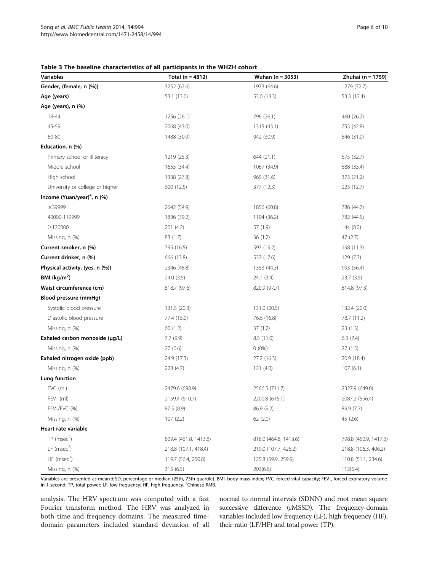# <span id="page-5-0"></span>Table 3 The baseline characteristics of all participants in the WHZH cohort

| <b>Variables</b>                        | Total ( $n = 4812$ )  | Wuhan $(n = 3053)$    | Zhuhai (n = 1759)     |
|-----------------------------------------|-----------------------|-----------------------|-----------------------|
| Gender, (female, n (%))                 | 3252 (67.6)           | 1973 (64.6)           | 1279 (72.7)           |
| Age (years)                             | 53.1 (13.0)           | 53.0 (13.3)           | 53.3 (12.4)           |
| Age (years), n (%)                      |                       |                       |                       |
| 18-44                                   | 1256 (26.1)           | 796 (26.1)            | 460 (26.2)            |
| 45-59                                   | 2068 (43.0)           | 1315 (43.1)           | 753 (42.8)            |
| 60-80                                   | 1488 (30.9)           | 942 (30.9)            | 546 (31.0)            |
| Education, n (%)                        |                       |                       |                       |
| Primary school or illiteracy            | 1219 (25.3)           | 644 (21.1)            | 575 (32.7)            |
| Middle school                           | 1655 (34.4)           | 1067 (34.9)           | 588 (33.4)            |
| High school                             | 1338 (27.8)           | 965 (31.6)            | 373 (21.2)            |
| University or college or higher         | 600 (12.5)            | 377 (12.3)            | 223 (12.7)            |
| Income (Yuan/year) <sup>#</sup> , n (%) |                       |                       |                       |
| $\leq$ 39999                            | 2642 (54.9)           | 1856 (60.8)           | 786 (44.7)            |
| 40000-119999                            | 1886 (39.2)           | 1104 (36.2)           | 782 (44.5)            |
| $\geq$ 120000                           | 201(4.2)              | 57 (1.9)              | 144(8.2)              |
| Missing, n (%)                          | 83(1.7)               | 36(1.2)               | 47(2.7)               |
| Current smoker, n (%)                   | 795 (16.5)            | 597 (19.2)            | 198 (11.3)            |
| Current drinker, n (%)                  | 666 (13.8)            | 537 (17.6)            | 129(7.3)              |
| Physical activity, (yes, n (%))         | 2346 (48.8)           | 1353 (44.3)           | 993 (56.4)            |
| BMI ( $kg/m2$ )                         | 24.0 (3.5)            | 24.1 (3.4)            | 23.7(3.5)             |
| Waist circumference (cm)                | 818.7 (97.6)          | 820.9 (97.7)          | 814.8 (97.3)          |
| Blood pressure (mmHg)                   |                       |                       |                       |
| Systolic blood pressure                 | 131.5 (20.3)          | 131.0 (20.5)          | 132.4 (20.0)          |
| Diastolic blood pressure                | 77.4 (15.0)           | 76.6 (16.8)           | 78.7 (11.2)           |
| Missing, n (%)                          | 60(1.2)               | 37(1.2)               | 23(1.3)               |
| Exhaled carbon monoxide (µg/L)          | 7.7(9.9)              | 8.5(11.0)             | 6.3(7.4)              |
| Missing, n (%)                          | 27(0.6)               | $0(0\%)$              | 27(1.5)               |
| Exhaled nitrogen oxide (ppb)            | 24.9 (17.3)           | 27.2 (16.3)           | 20.9 (18.4)           |
| Missing, n (%)                          | 228 (4.7)             | 121 (4.0)             | 107(6.1)              |
| Lung function                           |                       |                       |                       |
| FVC (ml)                                | 2479.6 (698.9)        | 2566.5 (711.7)        | 2327.9 (649.0)        |
| $FEV1$ (ml)                             | 2159.4 (610.7)        | 2200.8 (615.1)        | 2087.2 (596.4)        |
| FEV <sub>1</sub> /FVC (%)               | 87.5 (8.9)            | 86.9 (9.2)            | 89.9 (7.7)            |
| Missing, n (%)                          | 107(2.2)              | 62(2.0)               | 45 (2.6)              |
| Heart rate variable                     |                       |                       |                       |
| $TP$ (msec <sup>2</sup> )               | 809.4 (461.8, 1413.8) | 818.0 (464.8, 1413.6) | 798.8 (450.9, 1417.3) |
| $LF$ (msec <sup>2</sup> )               | 218.8 (107.1, 418.4)  | 219.0 (107.7, 426.2)  | 218.8 (106.3, 406.2)  |
| HF (msec $^2$ )                         | 119.7 (56.4, 250.8)   | 125.8 (59.9, 259.9)   | 110.8 (51.1, 234.6)   |
| Missing, n (%)                          | 315 (6.5)             | 203(6.6)              | 112(6.4)              |

Variables are presented as mean ± SD, percentage or median (25th, 75th quartile). BMI, body mass index; FVC, forced vital capacity; FEV1, forced expiratory volume in 1 second; TP, total power; LF, low frequency; HF, high frequency. <sup>#</sup>Chinese RMB.

analysis. The HRV spectrum was computed with a fast Fourier transform method. The HRV was analyzed in both time and frequency domains. The measured timedomain parameters included standard deviation of all normal to normal intervals (SDNN) and root mean square successive difference (rMSSD). The frequency-domain variables included low frequency (LF), high frequency (HF), their ratio (LF/HF) and total power (TP).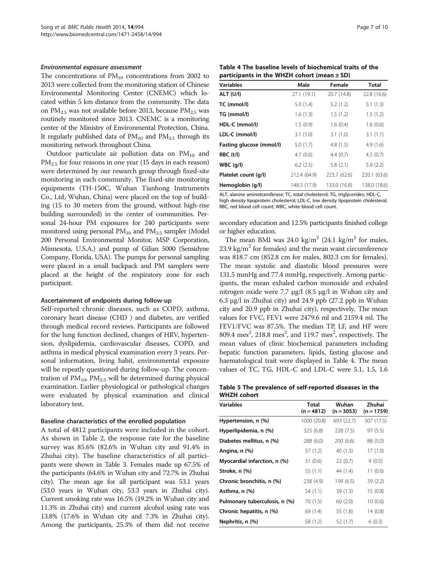#### <span id="page-6-0"></span>Environmental exposure assessment

The concentrations of  $PM_{10}$  concentrations from 2002 to 2013 were collected from the monitoring station of Chinese Environmental Monitoring Center (CNEMC) which located within 5 km distance from the community. The data on  $PM_{2.5}$  was not available before 2013, because  $PM_{2.5}$  was routinely monitored since 2013. CNEMC is a monitoring center of the Ministry of Environmental Protection, China. It regularly published data of  $PM_{10}$  and  $PM_{2.5}$  through its monitoring network throughout China.

Outdoor particulate air pollution data on  $PM_{10}$  and  $PM_{2.5}$  for four reasons in one year (15 days in each reason) were determined by our research group through fixed-site monitoring in each community. The fixed-site monitoring equipments (TH-150C, Wuhan Tianhong Instruments Co., Ltd, Wuhan, China) were placed on the top of building (15 to 30 meters from the ground, without high-rise building surrounded) in the center of communities. Personal 24-hour PM exposures for 240 participants were monitored using personal  $PM_{10}$  and  $PM_{2.5}$  sampler (Model 200 Personal Environmental Monitor, MSP Corporation, Minnesota, U.S.A.) and pump of Gilian 5000 (Sensidyne Company, Florida, USA). The pumps for personal sampling were placed in a small backpack and PM samplers were placed at the height of the respiratory zone for each participant.

#### Ascertainment of endpoints during follow-up

Self-reported chronic diseases, such as COPD, asthma, coronary heart disease (CHD ) and diabetes, are verified through medical record reviews. Participants are followed for the lung function declined, changes of HRV, hypertension, dyslipidemia, cardiovascular diseases, COPD, and asthma in medical physical examination every 3 years. Personal information, living habit, environmental exposure will be repeatly questioned during follow-up. The concentration of  $PM_{10}$ ,  $PM_{2.5}$  will be determined during physical examination. Earlier physiological or pathological changes were evaluated by physical examination and clinical laboratory test.

#### Baseline characteristics of the enrolled population

A total of 4812 participants were included in the cohort. As shown in Table [2](#page-4-0), the response rate for the baseline survey was 85.6% (82.6% in Wuhan city and 91.4% in Zhuhai city). The baseline characteristics of all participants were shown in Table [3](#page-5-0). Females made up 67.5% of the participants (64.6% in Wuhan city and 72.7% in Zhuhai city). The mean age for all participant was 53.1 years (53.0 years in Wuhan city, 53.3 years in Zhuhai city). Current smoking rate was 16.5% (19.2% in Wuhan city and 11.3% in Zhuhai city) and current alcohol using rate was 13.8% (17.6% in Wuhan city and 7.3% in Zhuhai city). Among the participants, 25.3% of them did not receive

| Table 4 The baseline levels of biochemical traits of the |  |
|----------------------------------------------------------|--|

| Variables                | Male         | Female       | <b>Total</b> |
|--------------------------|--------------|--------------|--------------|
| ALT (U/I)                | 27.1 (19.1)  | 20.7 (14.8)  | 22.8 (16.6)  |
| TC (mmol/l)              | 5.0(1.4)     | 5.2(1.2)     | 5.1(1.3)     |
| TG (mmol/l)              | 1.6(1.3)     | 1.5(1.2)     | 1.5(1.2)     |
| HDL-C (mmol/l)           | 1.5(0.9)     | 1.6(0.4)     | 1.6(0.6)     |
| LDL-C (mmol/l)           | 3.1(1.0)     | 3.1(1.0)     | 3.1(1.1)     |
| Fasting glucose (mmol/l) | 5.0(1.7)     | 4.8(1.5)     | 4.9(1.6)     |
| RBC (t/l)                | 4.7(0.6)     | 4.4(0.7)     | 4.5(0.7)     |
| $WBC$ (g/l)              | 6.2(2.5)     | 5.8(2.1)     | 5.9(2.2)     |
| Platelet count (g/l)     | 212.4 (64.9) | 223.7 (62.6) | 220.1 (63.6) |
| Hemoglobin (g/l)         | 148.5 (17.9) | 133.0 (16.8) | 138.0 (18.6) |
|                          |              |              |              |

participants in the WHZH cohort (mean  $+$  SD)

ALT, alanine aminotransferase; TC, total cholesterol; TG, triglycerides; HDL-C, high density lipoprotein cholesterol; LDL-C, low density lipoprotein cholesterol; RBC, red blood cell count; WBC, white blood cell count.

secondary education and 12.5% participants finished college or higher education.

The mean BMI was 24.0 kg/m<sup>2</sup> (24.1 kg/m<sup>2</sup> for males, 23.9 kg/ $m^2$  for females) and the mean waist circumference was 818.7 cm (852.8 cm for males, 802.3 cm for females). The mean systolic and diastolic blood pressures were 131.5 mmHg and 77.4 mmHg, respectively. Among participants, the mean exhaled carbon monoxide and exhaled nitrogen oxide were 7.7 μg/l (8.5 μg/l in Wuhan city and 6.3 μg/l in Zhuhai city) and 24.9 ppb (27.2 ppb in Wuhan city and 20.9 ppb in Zhuhai city), respectively. The mean values for FVC, FEV1 were 2479.6 ml and 2159.4 ml. The FEV1/FVC was 87.5%. The median TP, LF, and HF were 809.4 mes<sup>2</sup>, 218.8 mes<sup>2</sup>, and 119.7 mes<sup>2</sup>, respectively. The mean values of clinic biochemical parameters including hepatic function parameters, lipids, fasting glucose and haematological trait were displayed in Table 4. The mean values of TC, TG, HDL-C and LDL-C were 5.1, 1.5, 1.6

Table 5 The prevalence of self-reported diseases in the WHZH cohort

| <b>Variables</b>              | <b>Total</b><br>$(n = 4812)$ | Wuhan<br>$(n = 3053)$ | Zhuhai<br>$(n = 1759)$ |
|-------------------------------|------------------------------|-----------------------|------------------------|
| Hypertension, n (%)           | 1000 (20.8)                  | 693 (22.7)            | 307 (17.5)             |
| Hyperlipidemia, n (%)         | 325 (6.8)                    | 228 (7.5)             | 97 (5.5)               |
| Diabetes mellitus, n (%)      | 288 (6.0)                    | 200 (6.6)             | 88 (5.0)               |
| Angina, n (%)                 | 57 (1.2)                     | 40 (1.3)              | 17 (1.0)               |
| Myocardial infarction, n (%)  | 31(0.6)                      | 22(0.7)               | 9(0.5)                 |
| Stroke, n (%)                 | 55 (1.1)                     | 44 (1.4)              | 11(0.6)                |
| Chronic bronchitis, n (%)     | 238 (4.9)                    | 199 (6.5)             | 39 (2.2)               |
| Asthma, n (%)                 | 54 (1.1)                     | 39 (1.3)              | 15 (0.8)               |
| Pulmonary tuberculosis, n (%) | 70 (1.5)                     | 60(2.0)               | 10(0.6)                |
| Chronic hepatitis, n (%)      | 69 (1.4)                     | 55 (1.8)              | 14 (0.8)               |
| Nephritis, n (%)              | 58 (1.2)                     | 52 (1.7)              | 6(0.3)                 |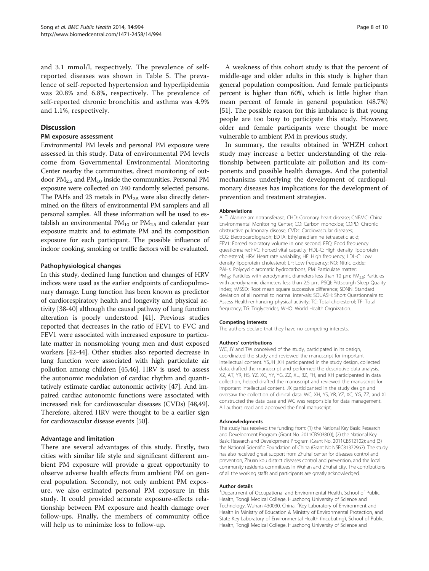and 3.1 mmol/l, respectively. The prevalence of selfreported diseases was shown in Table [5](#page-6-0). The prevalence of self-reported hypertension and hyperlipidemia was 20.8% and 6.8%, respectively. The prevalence of self-reported chronic bronchitis and asthma was 4.9% and 1.1%, respectively.

# **Discussion**

# PM exposure assessment

Environmental PM levels and personal PM exposure were assessed in this study. Data of environmental PM levels come from Governmental Environmental Monitoring Center nearby the communities, direct monitoring of outdoor  $PM_{2.5}$  and  $PM_{10}$  inside the communities. Personal PM exposure were collected on 240 randomly selected persons. The PAHs and 23 metals in  $PM_{2.5}$  were also directly determined on the filters of environmental PM samplers and all personal samples. All these information will be used to establish an environmental  $PM_{10}$  or  $PM_{2.5}$  and calendar year exposure matrix and to estimate PM and its composition exposure for each participant. The possible influence of indoor cooking, smoking or traffic factors will be evaluated.

# Pathophysiological changes

In this study, declined lung function and changes of HRV indices were used as the earlier endpoints of cardiopulmonary damage. Lung function has been known as predictor of cardiorespiratory health and longevity and physical activity [\[38](#page-8-0)[-40\]](#page-9-0) although the causal pathway of lung function alteration is poorly understood [\[41\]](#page-9-0). Previous studies reported that decreases in the ratio of FEV1 to FVC and FEV1 were associated with increased exposure to particulate matter in nonsmoking young men and dust exposed workers [[42](#page-9-0)-[44](#page-9-0)]. Other studies also reported decrease in lung function were associated with high particulate air pollution among children [\[45,46](#page-9-0)]. HRV is used to assess the autonomic modulation of cardiac rhythm and quantitatively estimate cardiac autonomic activity [[47](#page-9-0)]. And impaired cardiac autonomic functions were associated with increased risk for cardiovascular diseases (CVDs) [\[48,49](#page-9-0)]. Therefore, altered HRV were thought to be a earlier sign for cardiovascular disease events [\[50\]](#page-9-0).

# Advantage and limitation

There are several advantages of this study. Firstly, two cities with similar life style and significant different ambient PM exposure will provide a great opportunity to observe adverse health effects from ambient PM on general population. Secondly, not only ambient PM exposure, we also estimated personal PM exposure in this study. It could provided accurate exposure-effects relationship between PM exposure and health damage over follow-ups. Finally, the members of community office will help us to minimize loss to follow-up.

A weakness of this cohort study is that the percent of middle-age and older adults in this study is higher than general population composition. And female participants percent is higher than 60%, which is little higher than mean percent of female in general population (48.7%) [[51](#page-9-0)]. The possible reason for this imbalance is that young people are too busy to participate this study. However, older and female participants were thought be more vulnerable to ambient PM in previous study.

In summary, the results obtained in WHZH cohort study may increase a better understanding of the relationship between particulate air pollution and its components and possible health damages. And the potential mechanisms underlying the development of cardiopulmonary diseases has implications for the development of prevention and treatment strategies.

#### Abbreviations

ALT: Alanine aminotransferase; CHD: Coronary heart disease; CNEMC: China Environmental Monitoring Center; CO: Carbon monoxide; COPD: Chronic obstructive pulmonary disease; CVDs: Cardiovascular diseases; ECG: Electrocardiograph; EDTA: Ethylenediamine tetraacetic acid; FEV1: Forced expiratory volume in one second; FFQ: Food frequency questionnaire; FVC: Forced vital capacity; HDL-C: High density lipoprotein cholesterol; HRV: Heart rate variability; HF: High frequency; LDL-C: Low density lipoprotein cholesterol; LF: Low frequency; NO: Nitric oxide; PAHs: Polycyclic aromatic hydrocarbons; PM: Particulate matter; PM<sub>10</sub>: Particles with aerodynamic diameters less than 10  $\mu$ m; PM<sub>2.5</sub>: Particles with aerodynamic diameters less than 2.5 μm; PSQI: Pittsburgh Sleep Quality Index; rMSSD: Root mean square successive difference; SDNN: Standard deviation of all normal to normal intervals; SQUASH: Short Questionnaire to Assess Health-enhancing physical activity; TC: Total cholesterol; TF: Total frequency; TG: Triglycerides; WHO: World Health Orgnization.

#### Competing interests

The authors declare that they have no competing interests.

#### Authors' contributions

WC, JY and TW conceived of the study, participated in its design, coordinated the study and reviewed the manuscript for important intellectual content. YS,JH ,XH participanted in the study design, collected data, drafted the manuscript and performed the descriptive data analysis. XZ, AT, YR, HS, YZ, XC, YY, YG, ZZ, XL, BZ, FH, and XH participanted in data collection, helped drafted the manuscript and reviewed the manuscript for important intellectual content. JX participanted in the study design and oversaw the collection of clinical data. WC, XH, YS, YR, YZ, XC, YG, ZZ, and XL constructed the data base and WC was responsible for data management. All authors read and approved the final manuscript.

#### Acknowledgments

The study has received the funding from: (1) the National Key Basic Research and Development Program (Grant No. 2011CB503800); (2) the National Key Basic Research and Development Program (Grant No. 2011CB512102); and (3) the National Scientific Foundation of China (Grant No.NSFC81372967). The study has also received great support from Zhuhai center for diseases control and prevention, Zhuan kou district diseases control and prevention, and the local community residents committees in Wuhan and Zhuhai city. The contributions of all the working staffs and participants are greatly acknowledged.

#### Author details

<sup>1</sup>Department of Occupational and Environmental Health, School of Public Health, Tongji Medical College, Huazhong University of Science and Technology, Wuhan 430030, China. <sup>2</sup>Key Laboratory of Environment and Health in Ministry of Education & Ministry of Environmental Protection, and State Key Laboratory of Environmental Health (Incubating), School of Public Health, Tongji Medical College, Huazhong University of Science and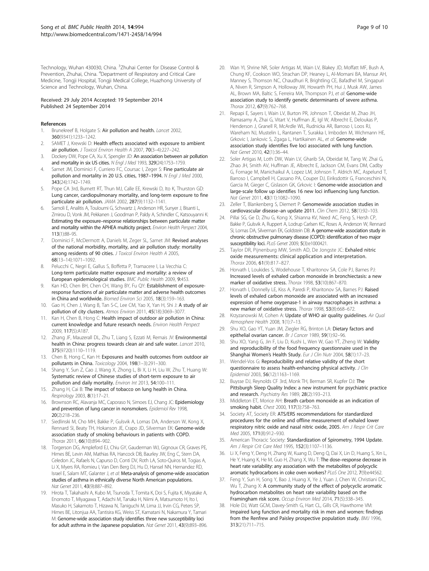<span id="page-8-0"></span>Technology, Wuhan 430030, China. <sup>3</sup>Zhuhai Center for Disease Control & Prevention, Zhuhai, China. <sup>4</sup>Department of Respiratory and Critical Care Medicine, Tongji Hospital, Tongji Medical College, Huazhong University of Science and Technology, Wuhan, China.

#### Received: 29 July 2014 Accepted: 19 September 2014 Published: 24 September 2014

#### References

- 1. Brunekreef B, Holgate S: Air pollution and health. Lancet 2002, 360(9341):1233–1242.
- SAMET J, Krewski D: Health effects associated with exposure to ambient air pollution. J Toxicol Environ Health A 2007, 70(3-4):227-242.
- 3. Dockery DW, Pope CA, Xu X, Spengler JD: An association between air pollution and mortality in six US cities. N Engl J Med 1993, 329(24):1753–1759.
- 4. Samet JM, Dominici F, Curriero FC, Coursac I, Zeger S: Fine particulate air pollution and mortality in 20 U.S. cities, 1987–1994. N Engl J Med 2000, 343(24):1742–1749.
- 5. Pope CA 3rd, Burnett RT, Thun MJ, Calle EE, Krewski D, Ito K, Thurston GD: Lung cancer, cardiopulmonary mortality, and long-term exposure to fine particulate air pollution. JAMA 2002, 287(9):1132–1141.
- 6. Samoli E, Analitis A, Touloumi G, Schwartz J, Anderson HR, Sunyer J, Bisanti L, Zmirou D, Vonk JM, Pekkanen J, Goodman P, Paldy A, Schindler C, Katsouyanni K: Estimating the exposure–response relationships between particulate matter and mortality within the APHEA multicity project. Environ Health Perspect 2004, 113(1):88–95.
- Dominici F, McDermott A, Daniels M, Zeger SL, Samet JM: Revised analyses of the national morbidity, mortality, and air pollution study: mortality among residents of 90 cities. J Toxicol Environ Health A 2005, 68(13–14):1071–1092.
- Pelucchi C, Negri E, Gallus S, Boffetta P, Tramacere I, La Vecchia C: Long-term particulate matter exposure and mortality: a review of European epidemiological studies. BMC Public Health 2009, 9:453.
- Kan HD, Chen BH, Chen CH, Wang BY, Fu QY: Establishment of exposureresponse functions of air particulate matter and adverse health outcomes in China and worldwide. Biomed Environ Sci 2005, 18(3):159–163.
- 10. Gao H, Chen J, Wang B, Tan S-C, Lee CM, Yao X, Yan H, Shi J: A study of air pollution of city clusters. Atmos Environ 2011, 45(18):3069–3077.
- 11. Kan H, Chen B, Hong C: Health impact of outdoor air pollution in China: current knowledge and future research needs. Environ Health Perspect 2009, 117(5):A187.
- 12. Zhang JF, Mauzerall DL, Zhu T, Liang S, Ezzati M, Remais JV: Environmental health in China: progress towards clean air and safe water. Lancet 2010, 375(9720):1110–1119.
- 13. Chen B, Hong C, Kan H: Exposures and health outcomes from outdoor air pollutants in China. Toxicology 2004, 198(1–3):291–300.
- 14. Shang Y, Sun Z, Cao J, Wang X, Zhong L, Bi X, Li H, Liu W, Zhu T, Huang W: Systematic review of Chinese studies of short-term exposure to air pollution and daily mortality. Environ Int 2013, 54:100–111.
- 15. Zhang H, Cai B: The impact of tobacco on lung health in China. Respirology 2003, 8(1):17–21.
- 16. Brownson RC, Alavanja MC, Caporaso N, Simoes EJ, Chang JC: Epidemiology and prevention of lung cancer in nonsmokers. Epidemiol Rev 1998, 20(2):218–236.
- 17. Siedlinski M, Cho MH, Bakke P, Gulsvik A, Lomas DA, Anderson W, Kong X, Rennard SI, Beaty TH, Hokanson JE, Crapo JD, Silverman EK: Genome-wide association study of smoking behaviours in patients with COPD. Thorax 2011, 66(10):894–902.
- 18. Torgerson DG, Ampleford EJ, Chiu GY, Gauderman WJ, Gignoux CR, Graves PE, Himes BE, Levin AM, Mathias RA, Hancock DB, Baurley JW, Eng C, Stern DA, Celedon JC, Rafaels N, Capurso D, Conti DV, Roth LA, Soto-Quiros M, Togias A, Li X, Myers RA, Romieu I, Van Den Berg DJ, Hu D, Hansel NN, Hernandez RD, Israel E, Salam MT, Galanter J, et al: Meta-analysis of genome-wide association studies of asthma in ethnically diverse North American populations. Nat Genet 2011, 43(9):887–892.
- 19. Hirota T, Takahashi A, Kubo M, Tsunoda T, Tomita K, Doi S, Fujita K, Miyatake A, Enomoto T, Miyagawa T, Adachi M, Tanaka H, Niimi A, Matsumoto H, Ito I, Masuko H, Sakamoto T, Hizawa N, Taniguchi M, Lima JJ, Irvin CG, Peters SP, Himes BE, Litonjua AA, Tantisira KG, Weiss ST, Kamatani N, Nakamura Y, Tamari M: Genome-wide association study identifies three new susceptibility loci for adult asthma in the Japanese population. Nat Genet 2011, 43(9):893–896.
- 20. Wan YI, Shrine NR, Soler Artigas M, Wain LV, Blakey JD, Moffatt MF, Bush A, Chung KF, Cookson WO, Strachan DP, Heaney L, Al-Momani BA, Mansur AH, Manney S, Thomson NC, Chaudhuri R, Brightling CE, Bafadhel M, Singapuri A, Niven R, Simpson A, Holloway JW, Howarth PH, Hui J, Musk AW, James AL, Brown MA, Baltic S, Ferreira MA, Thompson PJ, et al: Genome-wide association study to identify genetic determinants of severe asthma. Thorax 2012, 67(9):762–768.
- 21. Repapi E, Sayers I, Wain LV, Burton PR, Johnson T, Obeidat M, Zhao JH, Ramasamy A, Zhai G, Vitart V, Huffman JE, Igl W, Albrecht E, Deloukas P, Henderson J, Granell R, McArdle WL, Rudnicka AR, Barroso I, Loos RJ, Wareham NJ, Mustelin L, Rantanen T, Surakka I, Imboden M, Wichmann HE, Grkovic I, Jankovic S, Zgaga L, Hartikainen AL, et al: Genome-wide association study identifies five loci associated with lung function. Nat Genet 2010, 42(1):36–44.
- 22. Soler Artigas M, Loth DW, Wain LV, Gharib SA, Obeidat M, Tang W, Zhai G, Zhao JH, Smith AV, Huffman JE, Albrecht E, Jackson CM, Evans DM, Cadby G, Fornage M, Manichaikul A, Lopez LM, Johnson T, Aldrich MC, Aspelund T, Barroso I, Campbell H, Cassano PA, Couper DJ, Eiriksdottir G, Franceschini N, Garcia M, Gieger C, Gislason GK, Grkovic I: Genome-wide association and large-scale follow up identifies 16 new loci influencing lung function. Nat Genet 2011, 43(11):1082-1090.
- 23. Zeller T, Blankenberg S, Diemert P: Genomewide association studies in cardiovascular disease–an update 2011. Clin Chem 2012, 58(1):92–103.
- 24. Pillai SG, Ge D, Zhu G, Kong X, Shianna KV, Need AC, Feng S, Hersh CP, Bakke P, Gulsvik A, Ruppert A, Lodrup Carlsen KC, Roses A, Anderson W, Rennard SI, Lomas DA, Silverman EK, Goldstein DB: A genome-wide association study in chronic obstructive pulmonary disease (COPD): identification of two major susceptibility loci. PLoS Genet 2009, 5(3):e1000421.
- 25. Taylor DR, Pijnenburg MW, Smith AD, De Jongste JC: Exhaled nitric oxide measurements: clinical application and interpretation. Thorax 2006, 61(9):817–827.
- 26. Horvath I, Loukides S, Wodehouse T, Kharitonov SA, Cole PJ, Barnes PJ: Increased levels of exhaled carbon monoxide in bronchiectasis: a new marker of oxidative stress. Thorax 1998, 53(10):867-870.
- 27. Horvath I, Donnelly LE, Kiss A, Paredi P, Kharitonov SA, Barnes PJ: Raised levels of exhaled carbon monoxide are associated with an increased expression of heme oxygenase-1 in airway macrophages in asthma: a new marker of oxidative stress. Thorax 1998, 53(8):668–672.
- Krzyzanowski M, Cohen A: Update of WHO air quality guidelines. Air Qual Atmosphere Health 2008, 1(1):7–13.
- 29. Shu XO, Gao YT, Yuan JM, Ziegler RG, Brinton LA: Dietary factors and epithelial ovarian cancer. Br J Cancer 1989, 59(1):92–96.
- 30. Shu XO, Yang G, Jin F, Liu D, Kushi L, Wen W, Gao YT, Zheng W: Validity and reproducibility of the food frequency questionnaire used in the Shanghai Women's Health Study. Eur J Clin Nutr 2004, 58(1):17-23.
- 31. Wendel-Vos G: Reproducibility and relative validity of the short questionnaire to assess health-enhancing physical activity. J Clin Epidemiol 2003, 56(12):1163–1169.
- 32. Buysse DJ, Reynolds CF 3rd, Monk TH, Berman SR, Kupfer DJ: The Pittsburgh Sleep Quality Index: a new instrument for psychiatric practice and research. Psychiatry Res 1989, 28(2):193–213.
- 33. Middleton ET, Morice AH: Breath carbon monoxide as an indication of smoking habit. Chest 2000, 117(3):758–763.
- 34. Society AT, Society ER: ATS/ERS recommendations for standardized procedures for the online and offline measurement of exhaled lower respiratory nitric oxide and nasal nitric oxide, 2005. Am J Respir Crit Care Med 2005, 171(8):912–930.
- 35. American Thoracic Society: Standardization of Spirometry, 1994 Update. Am J Respir Crit Care Med 1995, 152(3):1107–1136.
- 36. Li X, Feng Y, Deng H, Zhang W, Kuang D, Deng Q, Dai X, Lin D, Huang S, Xin L, He Y, Huang K, He M, Guo H, Zhang X, Wu T: The dose-response decrease in heart rate variability: any association with the metabolites of polycyclic aromatic hydrocarbons in coke oven workers? PLoS One 2012, 7(9):e44562.
- 37. Feng Y, Sun H, Song Y, Bao J, Huang X, Ye J, Yuan J, Chen W, Christiani DC, Wu T, Zhang X: A community study of the effect of polycyclic aromatic hydrocarbon metabolites on heart rate variability based on the Framingham risk score. Occup Environ Med 2014, 71(5):338–345.
- 38. Hole DJ, Watt GCM, Davey-Smith G, Hart CL, Gills CR, Hawthorne VM: Impaired lung function and mortality risk in men and women: findings from the Renfrew and Paisley prospective population study. BMJ 1996, 313(21):711–715.